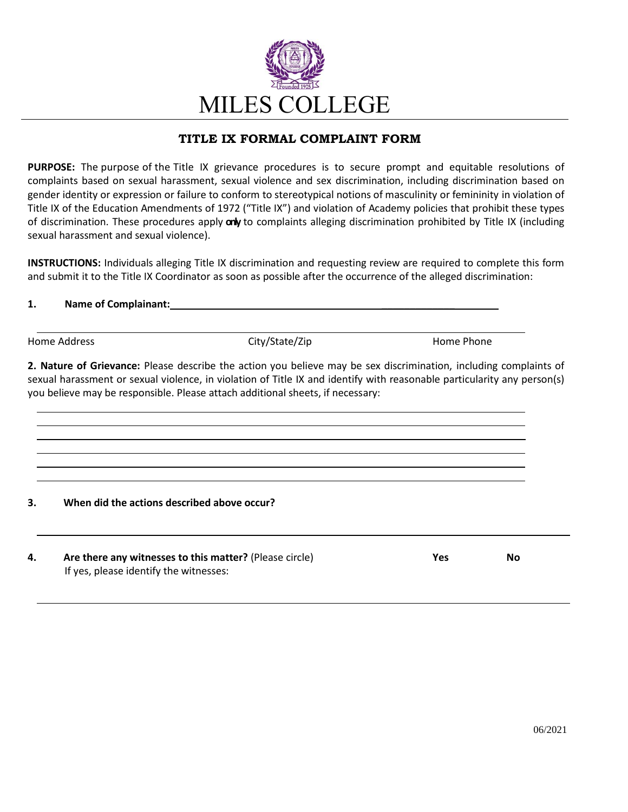

## **TITLE IX FORMAL COMPLAINT FORM**

**PURPOSE:** The purpose of the Title IX grievance procedures is to secure prompt and equitable resolutions of complaints based on sexual harassment, sexual violence and sex discrimination, including discrimination based on gender identity or expression or failure to conform to stereotypical notions of masculinity or femininity in violation of Title IX of the Education Amendments of 1972 ("Title IX") and violation of Academy policies that prohibit these types of discrimination. These procedures apply **only** to complaints alleging discrimination prohibited by Title IX (including sexual harassment and sexual violence).

**INSTRUCTIONS:** Individuals alleging Title IX discrimination and requesting review are required to complete this form and submit it to the Title IX Coordinator as soon as possible after the occurrence of the alleged discrimination:

## **1. Name of Complainant: \_\_\_\_\_\_\_\_\_\_\_\_\_**

Home Address **Accord Entity/State/Zip Home Phone** Phone

**2. Nature of Grievance:** Please describe the action you believe may be sex discrimination, including complaints of sexual harassment or sexual violence, in violation of Title IX and identify with reasonable particularity any person(s) you believe may be responsible. Please attach additional sheets, if necessary:

## **3. When did the actions described above occur?**

**4. Are there any witnesses to this matter?** (Please circle) **Yes No** If yes, please identify the witnesses: